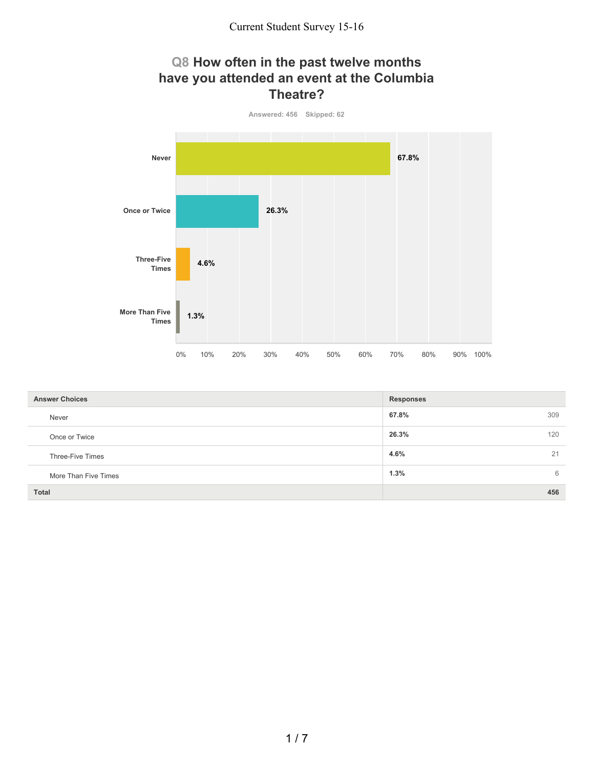### **Q8 How often in the past twelve months have you attended an event at the Columbia Theatre?**



| <b>Answer Choices</b> | <b>Responses</b> |
|-----------------------|------------------|
| Never                 | 67.8%<br>309     |
| Once or Twice         | 26.3%<br>120     |
| Three-Five Times      | 4.6%<br>21       |
| More Than Five Times  | 1.3%<br>6        |
| <b>Total</b>          | 456              |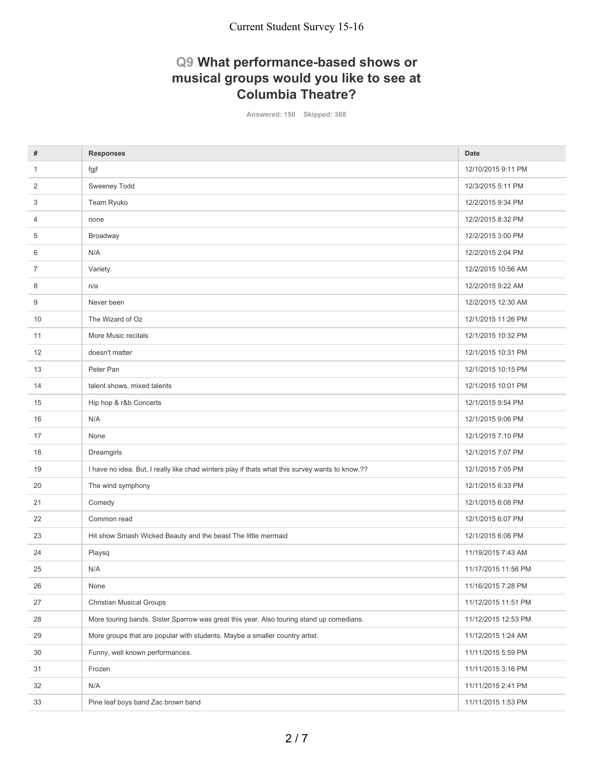# **Q9 What performance-based shows or musical groups would you like to see at Columbia Theatre?**

**Answered: 150 Skipped: 368**

| #            | <b>Responses</b>                                                                                | <b>Date</b>         |
|--------------|-------------------------------------------------------------------------------------------------|---------------------|
| $\mathbf{1}$ | fgjf                                                                                            | 12/10/2015 9:11 PM  |
| 2            | Sweeney Todd                                                                                    | 12/3/2015 5:11 PM   |
| 3            | Team Ryuko                                                                                      | 12/2/2015 9:34 PM   |
| 4            | none                                                                                            | 12/2/2015 8:32 PM   |
| 5            | Broadway                                                                                        | 12/2/2015 3:00 PM   |
| 6            | N/A                                                                                             | 12/2/2015 2:04 PM   |
| 7            | Variety.                                                                                        | 12/2/2015 10:56 AM  |
| 8            | n/a                                                                                             | 12/2/2015 9:22 AM   |
| 9            | Never been                                                                                      | 12/2/2015 12:30 AM  |
| 10           | The Wizard of Oz                                                                                | 12/1/2015 11:26 PM  |
| 11           | More Music recitals                                                                             | 12/1/2015 10:32 PM  |
| 12           | doesn't matter                                                                                  | 12/1/2015 10:31 PM  |
| 13           | Peter Pan                                                                                       | 12/1/2015 10:15 PM  |
| 14           | talent shows, mixed talents                                                                     | 12/1/2015 10:01 PM  |
| 15           | Hip hop & r&b Concerts                                                                          | 12/1/2015 9:54 PM   |
| 16           | N/A                                                                                             | 12/1/2015 9:06 PM   |
| 17           | None                                                                                            | 12/1/2015 7:10 PM   |
| 18           | Dreamgirls                                                                                      | 12/1/2015 7:07 PM   |
| 19           | I have no idea. But, I really like chad winters play if thats what this survey wants to know.?? | 12/1/2015 7:05 PM   |
| 20           | The wind symphony                                                                               | 12/1/2015 6:33 PM   |
| 21           | Comedy                                                                                          | 12/1/2015 6:08 PM   |
| 22           | Common read                                                                                     | 12/1/2015 6:07 PM   |
| 23           | Hit show Smash Wicked Beauty and the beast The little mermaid                                   | 12/1/2015 6:06 PM   |
| 24           | Playsq                                                                                          | 11/19/2015 7:43 AM  |
| 25           | N/A                                                                                             | 11/17/2015 11:56 PM |
| 26           | None                                                                                            | 11/16/2015 7:28 PM  |
| 27           | <b>Christian Musical Groups</b>                                                                 | 11/12/2015 11:51 PM |
| 28           | More touring bands. Sister Sparrow was great this year. Also touring stand up comedians.        | 11/12/2015 12:53 PM |
| 29           | More groups that are popular with students. Maybe a smaller country artist.                     | 11/12/2015 1:24 AM  |
| 30           | Funny, well known performances.                                                                 | 11/11/2015 5:59 PM  |
| 31           | Frozen                                                                                          | 11/11/2015 3:16 PM  |
| 32           | N/A                                                                                             | 11/11/2015 2:41 PM  |
| 33           | Pine leaf boys band Zac brown band                                                              | 11/11/2015 1:53 PM  |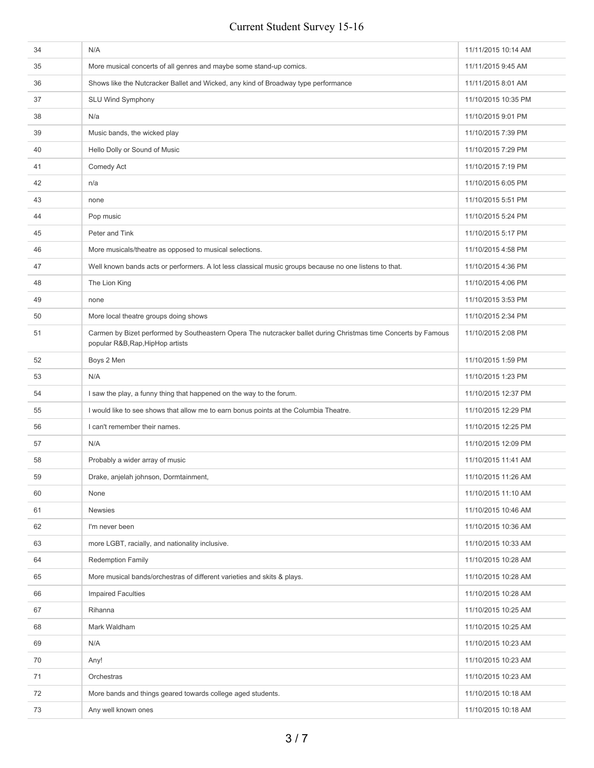| 34 | N/A                                                                                                                                                | 11/11/2015 10:14 AM |
|----|----------------------------------------------------------------------------------------------------------------------------------------------------|---------------------|
| 35 | More musical concerts of all genres and maybe some stand-up comics.                                                                                | 11/11/2015 9:45 AM  |
| 36 | Shows like the Nutcracker Ballet and Wicked, any kind of Broadway type performance                                                                 | 11/11/2015 8:01 AM  |
| 37 | <b>SLU Wind Symphony</b>                                                                                                                           | 11/10/2015 10:35 PM |
| 38 | N/a                                                                                                                                                | 11/10/2015 9:01 PM  |
| 39 | Music bands, the wicked play                                                                                                                       | 11/10/2015 7:39 PM  |
| 40 | Hello Dolly or Sound of Music                                                                                                                      | 11/10/2015 7:29 PM  |
| 41 | Comedy Act                                                                                                                                         | 11/10/2015 7:19 PM  |
| 42 | n/a                                                                                                                                                | 11/10/2015 6:05 PM  |
| 43 | none                                                                                                                                               | 11/10/2015 5:51 PM  |
| 44 | Pop music                                                                                                                                          | 11/10/2015 5:24 PM  |
| 45 | Peter and Tink                                                                                                                                     | 11/10/2015 5:17 PM  |
| 46 | More musicals/theatre as opposed to musical selections.                                                                                            | 11/10/2015 4:58 PM  |
| 47 | Well known bands acts or performers. A lot less classical music groups because no one listens to that.                                             | 11/10/2015 4:36 PM  |
| 48 | The Lion King                                                                                                                                      | 11/10/2015 4:06 PM  |
| 49 | none                                                                                                                                               | 11/10/2015 3:53 PM  |
| 50 | More local theatre groups doing shows                                                                                                              | 11/10/2015 2:34 PM  |
| 51 | Carmen by Bizet performed by Southeastern Opera The nutcracker ballet during Christmas time Concerts by Famous<br>popular R&B, Rap, HipHop artists | 11/10/2015 2:08 PM  |
| 52 | Boys 2 Men                                                                                                                                         | 11/10/2015 1:59 PM  |
| 53 | N/A                                                                                                                                                | 11/10/2015 1:23 PM  |
| 54 | I saw the play, a funny thing that happened on the way to the forum.                                                                               | 11/10/2015 12:37 PM |
| 55 | I would like to see shows that allow me to earn bonus points at the Columbia Theatre.                                                              | 11/10/2015 12:29 PM |
| 56 | I can't remember their names.                                                                                                                      | 11/10/2015 12:25 PM |
| 57 | N/A                                                                                                                                                | 11/10/2015 12:09 PM |
| 58 | Probably a wider array of music                                                                                                                    | 11/10/2015 11:41 AM |
| 59 | Drake, anjelah johnson, Dormtainment,                                                                                                              | 11/10/2015 11:26 AM |
| 60 | None                                                                                                                                               | 11/10/2015 11:10 AM |
| 61 | <b>Newsies</b>                                                                                                                                     | 11/10/2015 10:46 AM |
| 62 | I'm never been                                                                                                                                     | 11/10/2015 10:36 AM |
| 63 | more LGBT, racially, and nationality inclusive.                                                                                                    | 11/10/2015 10:33 AM |
| 64 | <b>Redemption Family</b>                                                                                                                           | 11/10/2015 10:28 AM |
| 65 | More musical bands/orchestras of different varieties and skits & plays.                                                                            | 11/10/2015 10:28 AM |
| 66 | <b>Impaired Faculties</b>                                                                                                                          | 11/10/2015 10:28 AM |
| 67 | Rihanna                                                                                                                                            | 11/10/2015 10:25 AM |
| 68 | Mark Waldham                                                                                                                                       | 11/10/2015 10:25 AM |
| 69 | N/A                                                                                                                                                | 11/10/2015 10:23 AM |
| 70 | Any!                                                                                                                                               | 11/10/2015 10:23 AM |
| 71 | Orchestras                                                                                                                                         | 11/10/2015 10:23 AM |
| 72 | More bands and things geared towards college aged students.                                                                                        | 11/10/2015 10:18 AM |
| 73 | Any well known ones                                                                                                                                | 11/10/2015 10:18 AM |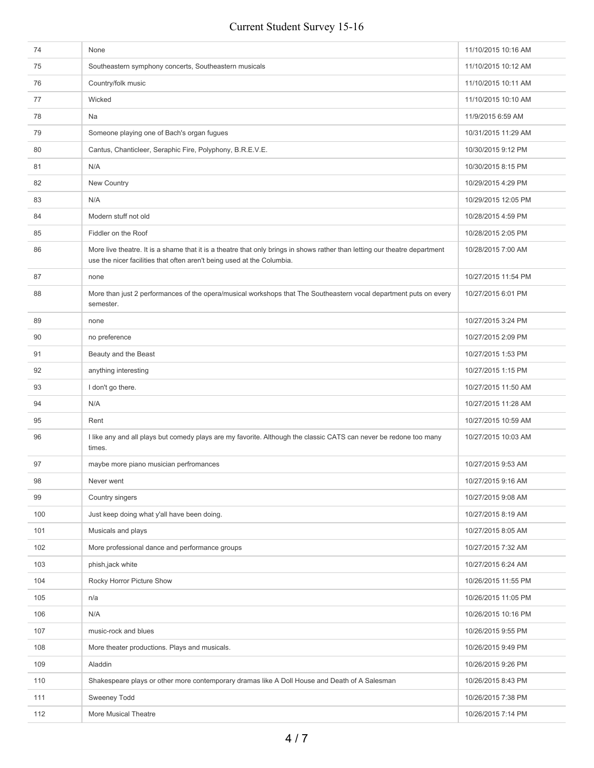| 74  | None                                                                                                                                                                                                 | 11/10/2015 10:16 AM |
|-----|------------------------------------------------------------------------------------------------------------------------------------------------------------------------------------------------------|---------------------|
| 75  | Southeastern symphony concerts, Southeastern musicals                                                                                                                                                | 11/10/2015 10:12 AM |
| 76  | Country/folk music                                                                                                                                                                                   | 11/10/2015 10:11 AM |
| 77  | Wicked                                                                                                                                                                                               | 11/10/2015 10:10 AM |
| 78  | Na                                                                                                                                                                                                   | 11/9/2015 6:59 AM   |
| 79  | Someone playing one of Bach's organ fugues                                                                                                                                                           | 10/31/2015 11:29 AM |
| 80  | Cantus, Chanticleer, Seraphic Fire, Polyphony, B.R.E.V.E.                                                                                                                                            | 10/30/2015 9:12 PM  |
| 81  | N/A                                                                                                                                                                                                  | 10/30/2015 8:15 PM  |
| 82  | New Country                                                                                                                                                                                          | 10/29/2015 4:29 PM  |
| 83  | N/A                                                                                                                                                                                                  | 10/29/2015 12:05 PM |
| 84  | Modern stuff not old                                                                                                                                                                                 | 10/28/2015 4:59 PM  |
| 85  | Fiddler on the Roof                                                                                                                                                                                  | 10/28/2015 2:05 PM  |
| 86  | More live theatre. It is a shame that it is a theatre that only brings in shows rather than letting our theatre department<br>use the nicer facilities that often aren't being used at the Columbia. | 10/28/2015 7:00 AM  |
| 87  | none                                                                                                                                                                                                 | 10/27/2015 11:54 PM |
| 88  | More than just 2 performances of the opera/musical workshops that The Southeastern vocal department puts on every<br>semester.                                                                       | 10/27/2015 6:01 PM  |
| 89  | none                                                                                                                                                                                                 | 10/27/2015 3:24 PM  |
| 90  | no preference                                                                                                                                                                                        | 10/27/2015 2:09 PM  |
| 91  | Beauty and the Beast                                                                                                                                                                                 | 10/27/2015 1:53 PM  |
| 92  | anything interesting                                                                                                                                                                                 | 10/27/2015 1:15 PM  |
| 93  | I don't go there.                                                                                                                                                                                    | 10/27/2015 11:50 AM |
| 94  | N/A                                                                                                                                                                                                  | 10/27/2015 11:28 AM |
| 95  | Rent                                                                                                                                                                                                 | 10/27/2015 10:59 AM |
| 96  | I like any and all plays but comedy plays are my favorite. Although the classic CATS can never be redone too many<br>times.                                                                          | 10/27/2015 10:03 AM |
| 97  | maybe more piano musician perfromances                                                                                                                                                               | 10/27/2015 9:53 AM  |
| 98  | Never went                                                                                                                                                                                           | 10/27/2015 9:16 AM  |
| 99  | Country singers                                                                                                                                                                                      | 10/27/2015 9:08 AM  |
| 100 | Just keep doing what y'all have been doing.                                                                                                                                                          | 10/27/2015 8:19 AM  |
| 101 | Musicals and plays                                                                                                                                                                                   | 10/27/2015 8:05 AM  |
| 102 | More professional dance and performance groups                                                                                                                                                       | 10/27/2015 7:32 AM  |
| 103 | phish, jack white                                                                                                                                                                                    | 10/27/2015 6:24 AM  |
| 104 | Rocky Horror Picture Show                                                                                                                                                                            | 10/26/2015 11:55 PM |
| 105 | n/a                                                                                                                                                                                                  | 10/26/2015 11:05 PM |
| 106 | N/A                                                                                                                                                                                                  | 10/26/2015 10:16 PM |
| 107 | music-rock and blues                                                                                                                                                                                 | 10/26/2015 9:55 PM  |
| 108 | More theater productions. Plays and musicals.                                                                                                                                                        | 10/26/2015 9:49 PM  |
| 109 | Aladdin                                                                                                                                                                                              | 10/26/2015 9:26 PM  |
| 110 | Shakespeare plays or other more contemporary dramas like A Doll House and Death of A Salesman                                                                                                        | 10/26/2015 8:43 PM  |
| 111 | Sweeney Todd                                                                                                                                                                                         | 10/26/2015 7:38 PM  |
| 112 | More Musical Theatre                                                                                                                                                                                 | 10/26/2015 7:14 PM  |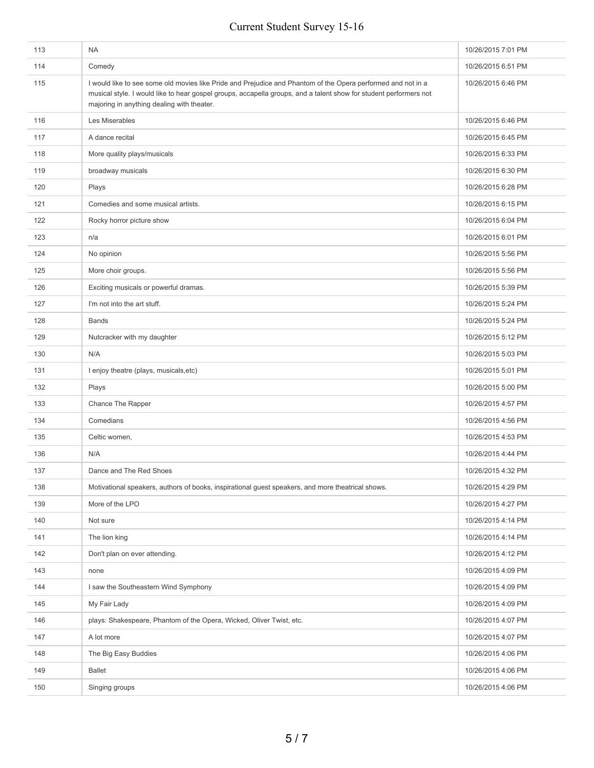| 113 | <b>NA</b>                                                                                                                                                                                                                                                                       | 10/26/2015 7:01 PM |
|-----|---------------------------------------------------------------------------------------------------------------------------------------------------------------------------------------------------------------------------------------------------------------------------------|--------------------|
| 114 | Comedy                                                                                                                                                                                                                                                                          | 10/26/2015 6:51 PM |
| 115 | I would like to see some old movies like Pride and Prejudice and Phantom of the Opera performed and not in a<br>musical style. I would like to hear gospel groups, accapella groups, and a talent show for student performers not<br>majoring in anything dealing with theater. | 10/26/2015 6:46 PM |
| 116 | Les Miserables                                                                                                                                                                                                                                                                  | 10/26/2015 6:46 PM |
| 117 | A dance recital                                                                                                                                                                                                                                                                 | 10/26/2015 6:45 PM |
| 118 | More quality plays/musicals                                                                                                                                                                                                                                                     | 10/26/2015 6:33 PM |
| 119 | broadway musicals                                                                                                                                                                                                                                                               | 10/26/2015 6:30 PM |
| 120 | Plays                                                                                                                                                                                                                                                                           | 10/26/2015 6:28 PM |
| 121 | Comedies and some musical artists.                                                                                                                                                                                                                                              | 10/26/2015 6:15 PM |
| 122 | Rocky horror picture show                                                                                                                                                                                                                                                       | 10/26/2015 6:04 PM |
| 123 | n/a                                                                                                                                                                                                                                                                             | 10/26/2015 6:01 PM |
| 124 | No opinion                                                                                                                                                                                                                                                                      | 10/26/2015 5:56 PM |
| 125 | More choir groups.                                                                                                                                                                                                                                                              | 10/26/2015 5:56 PM |
| 126 | Exciting musicals or powerful dramas.                                                                                                                                                                                                                                           | 10/26/2015 5:39 PM |
| 127 | I'm not into the art stuff.                                                                                                                                                                                                                                                     | 10/26/2015 5:24 PM |
| 128 | <b>Bands</b>                                                                                                                                                                                                                                                                    | 10/26/2015 5:24 PM |
| 129 | Nutcracker with my daughter                                                                                                                                                                                                                                                     | 10/26/2015 5:12 PM |
| 130 | N/A                                                                                                                                                                                                                                                                             | 10/26/2015 5:03 PM |
| 131 | I enjoy theatre (plays, musicals, etc)                                                                                                                                                                                                                                          | 10/26/2015 5:01 PM |
| 132 | Plays                                                                                                                                                                                                                                                                           | 10/26/2015 5:00 PM |
| 133 | Chance The Rapper                                                                                                                                                                                                                                                               | 10/26/2015 4:57 PM |
| 134 | Comedians                                                                                                                                                                                                                                                                       | 10/26/2015 4:56 PM |
| 135 | Celtic women,                                                                                                                                                                                                                                                                   | 10/26/2015 4:53 PM |
| 136 | N/A                                                                                                                                                                                                                                                                             | 10/26/2015 4:44 PM |
| 137 | Dance and The Red Shoes                                                                                                                                                                                                                                                         | 10/26/2015 4:32 PM |
| 138 | Motivational speakers, authors of books, inspirational guest speakers, and more theatrical shows.                                                                                                                                                                               | 10/26/2015 4:29 PM |
| 139 | More of the LPO                                                                                                                                                                                                                                                                 | 10/26/2015 4:27 PM |
| 140 | Not sure                                                                                                                                                                                                                                                                        | 10/26/2015 4:14 PM |
| 141 | The lion king                                                                                                                                                                                                                                                                   | 10/26/2015 4:14 PM |
| 142 | Don't plan on ever attending.                                                                                                                                                                                                                                                   | 10/26/2015 4:12 PM |
| 143 | none                                                                                                                                                                                                                                                                            | 10/26/2015 4:09 PM |
| 144 | I saw the Southeastern Wind Symphony                                                                                                                                                                                                                                            | 10/26/2015 4:09 PM |
| 145 | My Fair Lady                                                                                                                                                                                                                                                                    | 10/26/2015 4:09 PM |
| 146 | plays: Shakespeare, Phantom of the Opera, Wicked, Oliver Twist, etc.                                                                                                                                                                                                            | 10/26/2015 4:07 PM |
| 147 | A lot more                                                                                                                                                                                                                                                                      | 10/26/2015 4:07 PM |
| 148 | The Big Easy Buddies                                                                                                                                                                                                                                                            | 10/26/2015 4:06 PM |
| 149 | <b>Ballet</b>                                                                                                                                                                                                                                                                   | 10/26/2015 4:06 PM |
| 150 | Singing groups                                                                                                                                                                                                                                                                  | 10/26/2015 4:06 PM |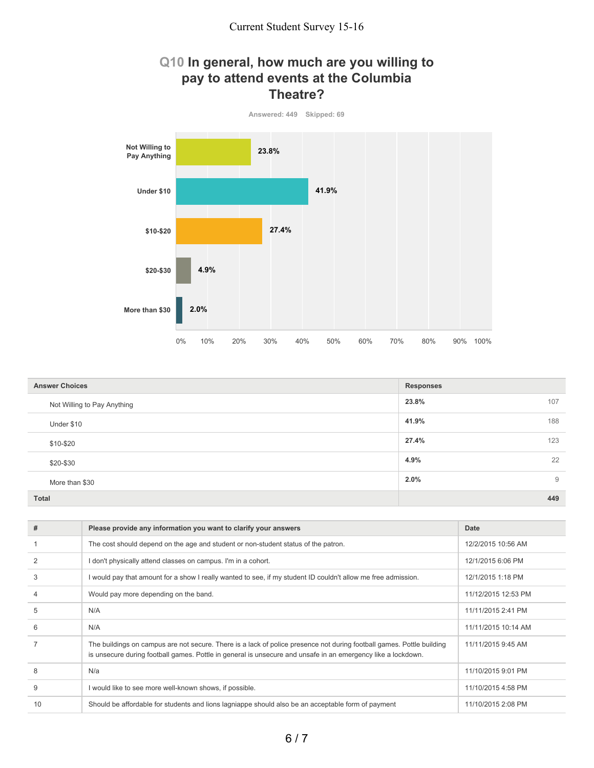### **Q10 In general, how much are you willing to pay to attend events at the Columbia Theatre?**



| <b>Answer Choices</b>       | <b>Responses</b> |
|-----------------------------|------------------|
| Not Willing to Pay Anything | 23.8%<br>107     |
| Under \$10                  | 188<br>41.9%     |
| \$10-\$20                   | 27.4%<br>123     |
| \$20-\$30                   | 22<br>4.9%       |
| More than \$30              | 2.0%<br>9        |
| <b>Total</b>                | 449              |

| #  | Please provide any information you want to clarify your answers                                                                                                                                                                       | Date                |
|----|---------------------------------------------------------------------------------------------------------------------------------------------------------------------------------------------------------------------------------------|---------------------|
|    | The cost should depend on the age and student or non-student status of the patron.                                                                                                                                                    | 12/2/2015 10:56 AM  |
|    | I don't physically attend classes on campus. I'm in a cohort.                                                                                                                                                                         | 12/1/2015 6:06 PM   |
| 3  | I would pay that amount for a show I really wanted to see, if my student ID couldn't allow me free admission.                                                                                                                         | 12/1/2015 1:18 PM   |
|    | Would pay more depending on the band.                                                                                                                                                                                                 | 11/12/2015 12:53 PM |
| 5  | N/A                                                                                                                                                                                                                                   | 11/11/2015 2:41 PM  |
| 6  | N/A                                                                                                                                                                                                                                   | 11/11/2015 10:14 AM |
|    | The buildings on campus are not secure. There is a lack of police presence not during football games. Pottle building<br>is unsecure during football games. Pottle in general is unsecure and unsafe in an emergency like a lockdown. | 11/11/2015 9:45 AM  |
| 8  | N/a                                                                                                                                                                                                                                   | 11/10/2015 9:01 PM  |
| 9  | I would like to see more well-known shows, if possible.                                                                                                                                                                               | 11/10/2015 4:58 PM  |
| 10 | Should be affordable for students and lions lagniappe should also be an acceptable form of payment                                                                                                                                    | 11/10/2015 2:08 PM  |
|    |                                                                                                                                                                                                                                       |                     |